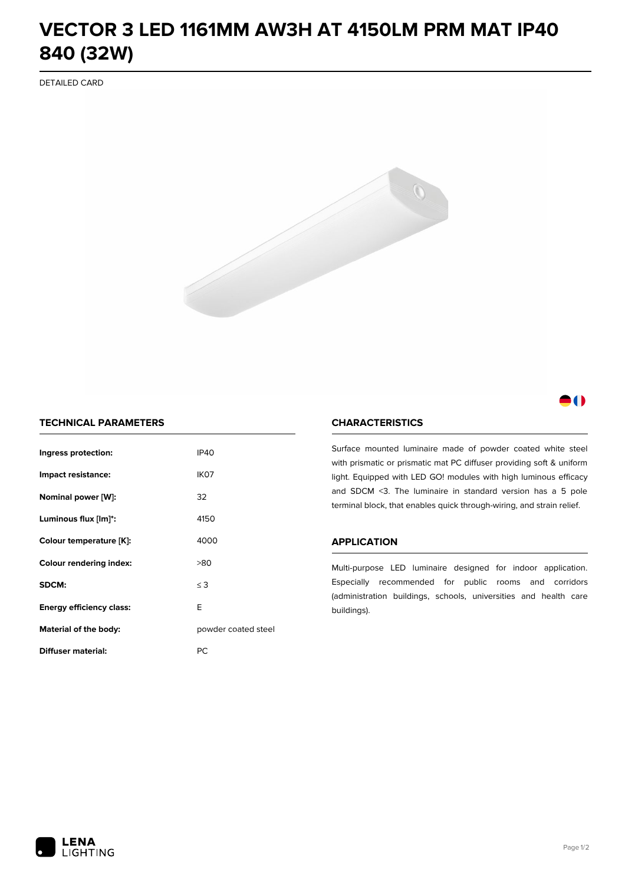# **VECTOR 3 LED 1161MM AW3H AT 4150LM PRM MAT IP40 840 (32W)**

DETAILED CARD



# 11

## **TECHNICAL PARAMETERS**

| Ingress protection:             | <b>IP40</b>         |  |
|---------------------------------|---------------------|--|
| Impact resistance:              | IK <sub>07</sub>    |  |
| Nominal power [W]:              | 32                  |  |
| Luminous flux [lm]*:            | 4150                |  |
| Colour temperature [K]:         | 4000                |  |
| <b>Colour rendering index:</b>  | >80                 |  |
| SDCM:                           | $\leq$ 3            |  |
| <b>Energy efficiency class:</b> | E                   |  |
| Material of the body:           | powder coated steel |  |
| <b>Diffuser material:</b>       | РC                  |  |

### **CHARACTERISTICS**

Surface mounted luminaire made of powder coated white steel with prismatic or prismatic mat PC diffuser providing soft & uniform light. Equipped with LED GO! modules with high luminous efficacy and SDCM <3. The luminaire in standard version has a 5 pole terminal block, that enables quick through-wiring, and strain relief.

#### **APPLICATION**

Multi-purpose LED luminaire designed for indoor application. Especially recommended for public rooms and corridors (administration buildings, schools, universities and health care buildings).